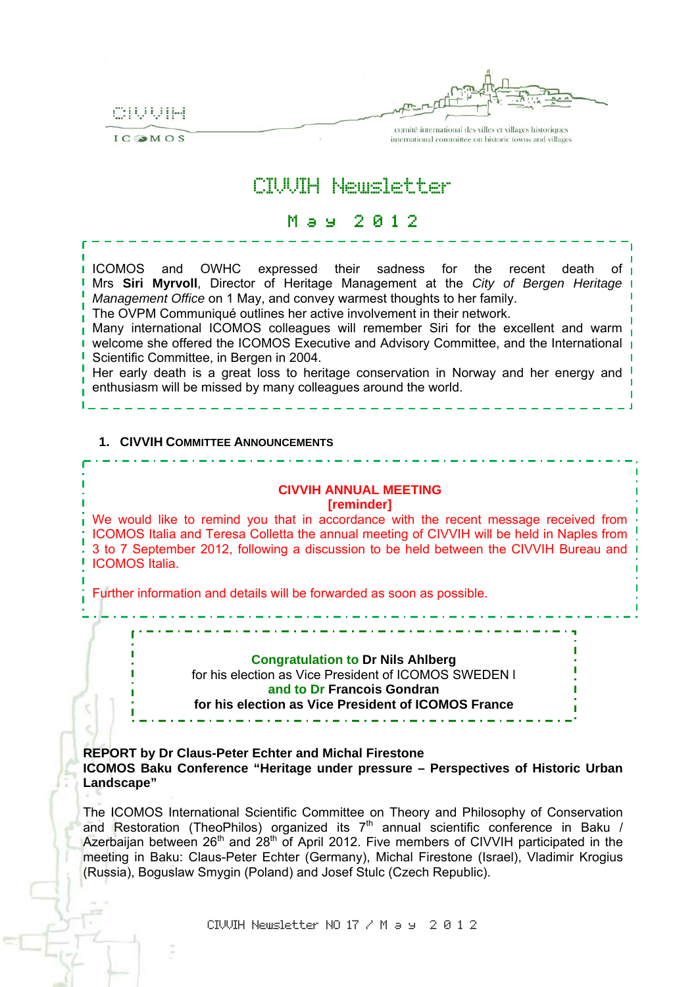CIUUIH

IC OMOS



comité international des villes et villages historiques international committee on historic towns and villages

# CIVVIH Newsletter

## M a y 2 0 1 2

ICOMOS and OWHC expressed their sadness for the recent death of Mrs **Siri Myrvoll**, Director of Heritage Management at the *City of Bergen Heritage Management Office* on 1 May, and convey warmest thoughts to her family.

The OVPM Communiqué outlines her active involvement in their network.

Many international ICOMOS colleagues will remember Siri for the excellent and warm welcome she offered the ICOMOS Executive and Advisory Committee, and the International Scientific Committee, in Bergen in 2004.

Her early death is a great loss to heritage conservation in Norway and her energy and enthusiasm will be missed by many colleagues around the world.

#### **1. CIVVIH COMMITTEE ANNOUNCEMENTS**

### **CIVVIH ANNUAL MEETING**

**[reminder]** 

We would like to remind you that in accordance with the recent message received from ICOMOS Italia and Teresa Colletta the annual meeting of CIVVIH will be held in Naples from 3 to 7 September 2012, following a discussion to be held between the CIVVIH Bureau and ICOMOS Italia.

Further information and details will be forwarded as soon as possible.

**Congratulation to Dr Nils Ahlberg** 

for his election as Vice President of ICOMOS SWEDEN l

**and to Dr Francois Gondran**

**for his election as Vice President of ICOMOS France** 

**REPORT by Dr Claus-Peter Echter and Michal Firestone ICOMOS Baku Conference "Heritage under pressure – Perspectives of Historic Urban Landscape"** 

The ICOMOS International Scientific Committee on Theory and Philosophy of Conservation and Restoration (TheoPhilos) organized its  $7<sup>th</sup>$  annual scientific conference in Baku / Azerbaijan between 26<sup>th</sup> and 28<sup>th</sup> of April 2012. Five members of CIVVIH participated in the meeting in Baku: Claus-Peter Echter (Germany), Michal Firestone (Israel), Vladimir Krogius (Russia), Boguslaw Smygin (Poland) and Josef Stulc (Czech Republic).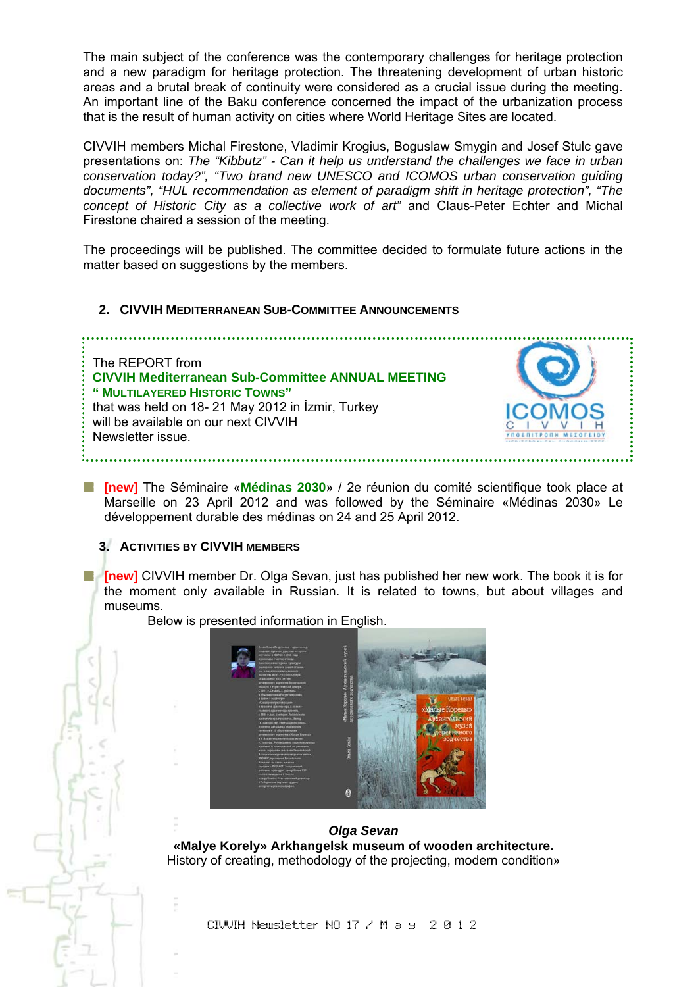The main subject of the conference was the contemporary challenges for heritage protection and a new paradigm for heritage protection. The threatening development of urban historic areas and a brutal break of continuity were considered as a crucial issue during the meeting. An important line of the Baku conference concerned the impact of the urbanization process that is the result of human activity on cities where World Heritage Sites are located.

CIVVIH members Michal Firestone, Vladimir Krogius, Boguslaw Smygin and Josef Stulc gave presentations on: *The "Kibbutz" - Can it help us understand the challenges we face in urban conservation today?", "Two brand new UNESCO and ICOMOS urban conservation guiding documents", "HUL recommendation as element of paradigm shift in heritage protection", "The concept of Historic City as a collective work of art"* and Claus-Peter Echter and Michal Firestone chaired a session of the meeting.

The proceedings will be published. The committee decided to formulate future actions in the matter based on suggestions by the members.

#### **2. CIVVIH MEDITERRANEAN SUB-COMMITTEE ANNOUNCEMENTS**



**[new]** The Séminaire «**Médinas 2030**» / 2e réunion du comité scientifique took place at Marseille on 23 April 2012 and was followed by the Séminaire «Médinas 2030» Le développement durable des médinas on 24 and 25 April 2012.

#### **3. ACTIVITIES BY CIVVIH MEMBERS**

**Fig. [new]** CIVVIH member Dr. Olga Sevan, just has published her new work. The book it is for the moment only available in Russian. It is related to towns, but about villages and museums.

Below is presented information in English.



*Olga Sevan*  **«Malye Korely» Arkhangelsk museum of wooden architecture.**  History of creating, methodology of the projecting, modern condition»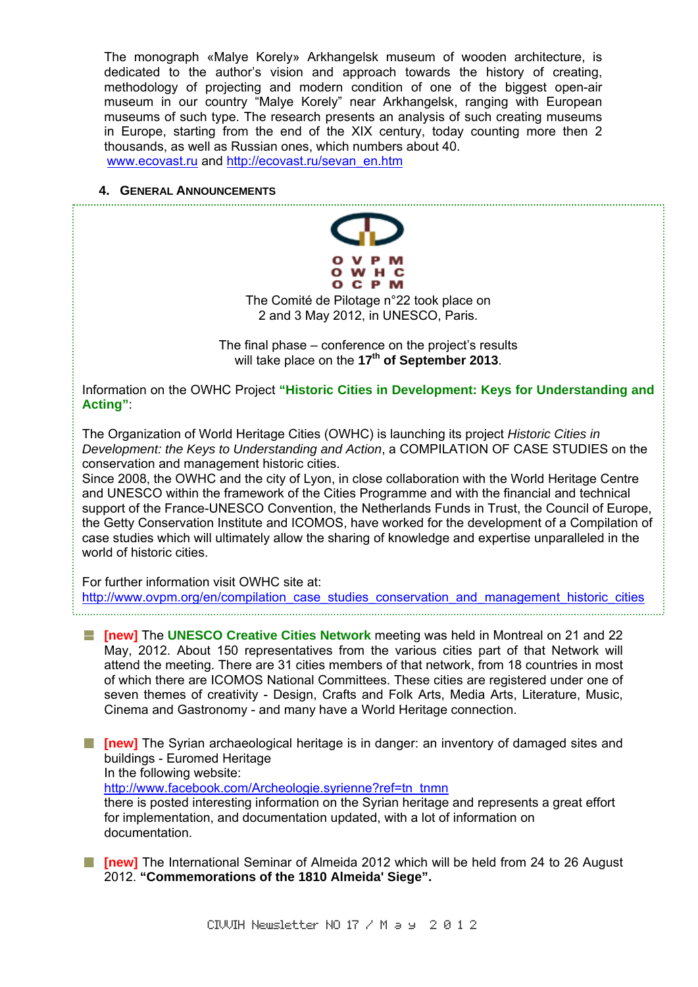The monograph «Malye Korely» Arkhangelsk museum of wooden architecture, is dedicated to the author's vision and approach towards the history of creating, methodology of projecting and modern condition of one of the biggest open-air museum in our country "Malye Korely" near Arkhangelsk, ranging with European museums of such type. The research presents an analysis of such creating museums in Europe, starting from the end of the XIX century, today counting more then 2 thousands, as well as Russian ones, which numbers about 40.

www.ecovast.ru and http://ecovast.ru/sevan\_en.htm

#### **4. GENERAL ANNOUNCEMENTS**



The Comité de Pilotage n°22 took place on 2 and 3 May 2012, in UNESCO, Paris.

The final phase – conference on the project's results will take place on the 17<sup>th</sup> of September 2013.

Information on the OWHC Project **"Historic Cities in Development: Keys for Understanding and Acting"**:

The Organization of World Heritage Cities (OWHC) is launching its project *Historic Cities in Development: the Keys to Understanding and Action*, a COMPILATION OF CASE STUDIES on the conservation and management historic cities.

Since 2008, the OWHC and the city of Lyon, in close collaboration with the World Heritage Centre and UNESCO within the framework of the Cities Programme and with the financial and technical support of the France-UNESCO Convention, the Netherlands Funds in Trust, the Council of Europe, the Getty Conservation Institute and ICOMOS, have worked for the development of a Compilation of case studies which will ultimately allow the sharing of knowledge and expertise unparalleled in the world of historic cities.

For further information visit OWHC site at:

http://www.ovpm.org/en/compilation\_case\_studies\_conservation\_and\_management\_historic\_cities 

**[new]** The **UNESCO Creative Cities Network** meeting was held in Montreal on 21 and 22 May, 2012. About 150 representatives from the various cities part of that Network will attend the meeting. There are 31 cities members of that network, from 18 countries in most of which there are ICOMOS National Committees. These cities are registered under one of seven themes of creativity - Design, Crafts and Folk Arts, Media Arts, Literature, Music, Cinema and Gastronomy - and many have a World Heritage connection.

**[absence]** The Syrian archaeological heritage is in danger: an inventory of damaged sites and buildings - Euromed Heritage In the following website: http://www.facebook.com/Archeologie.syrienne?ref=tn\_tnmn there is posted interesting information on the Syrian heritage and represents a great effort for implementation, and documentation updated, with a lot of information on documentation.

**[new]** The International Seminar of Almeida 2012 which will be held from 24 to 26 August 2012. **"Commemorations of the 1810 Almeida' Siege".**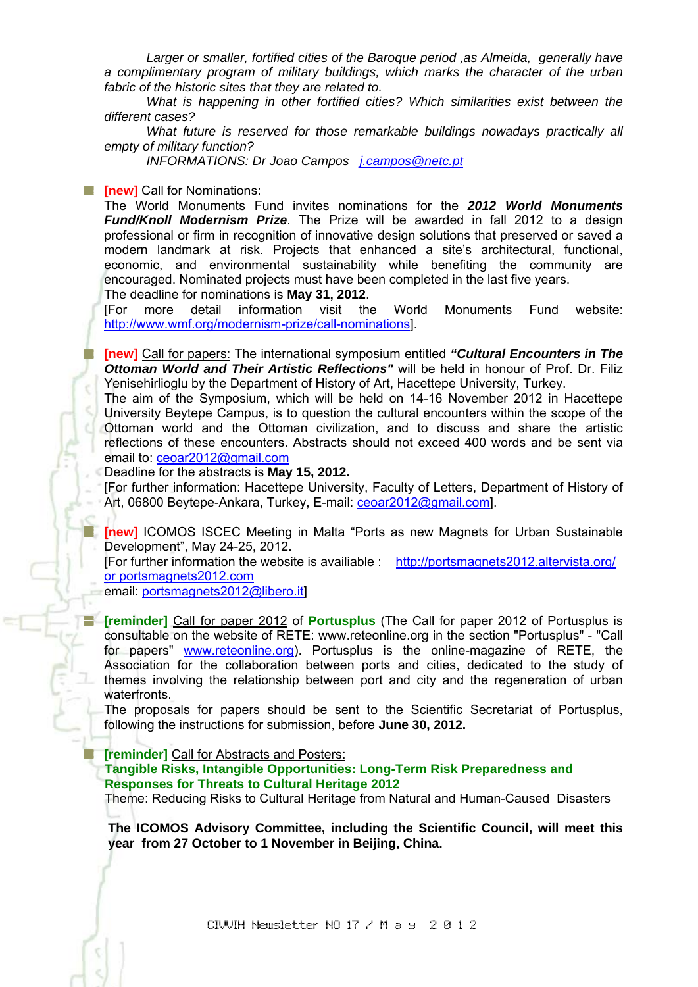*Larger or smaller, fortified cities of the Baroque period ,as Almeida, generally have a complimentary program of military buildings, which marks the character of the urban fabric of the historic sites that they are related to.* 

*What is happening in other fortified cities? Which similarities exist between the different cases?* 

*What future is reserved for those remarkable buildings nowadays practically all empty of military function?* 

*INFORMATIONS: Dr Joao Campos j.campos@netc.pt*

#### **Fig. 4** [new] Call for Nominations:

The World Monuments Fund invites nominations for the *2012 World Monuments Fund/Knoll Modernism Prize*. The Prize will be awarded in fall 2012 to a design professional or firm in recognition of innovative design solutions that preserved or saved a modern landmark at risk. Projects that enhanced a site's architectural, functional, economic, and environmental sustainability while benefiting the community are encouraged. Nominated projects must have been completed in the last five years. The deadline for nominations is **May 31, 2012**.

[For more detail information visit the World Monuments Fund website: http://www.wmf.org/modernism-prize/call-nominations].

**[new]** Call for papers: The international symposium entitled *"Cultural Encounters in The Ottoman World and Their Artistic Reflections"* will be held in honour of Prof. Dr. Filiz Yenisehirlioglu by the Department of History of Art, Hacettepe University, Turkey.

The aim of the Symposium, which will be held on 14-16 November 2012 in Hacettepe University Beytepe Campus, is to question the cultural encounters within the scope of the Ottoman world and the Ottoman civilization, and to discuss and share the artistic reflections of these encounters. Abstracts should not exceed 400 words and be sent via email to: ceoar2012@gmail.com

Deadline for the abstracts is **May 15, 2012.**

[For further information: Hacettepe University, Faculty of Letters, Department of History of Art, 06800 Beytepe-Ankara, Turkey, E-mail: ceoar2012@gmail.com].

**[new]** ICOMOS ISCEC Meeting in Malta "Ports as new Magnets for Urban Sustainable Development", May 24-25, 2012.

[For further information the website is availiable : http://portsmagnets2012.altervista.org/ or portsmagnets2012.com

email: portsmagnets2012@libero.it]

**[Feminder]** Call for paper 2012 of **Portusplus** (The Call for paper 2012 of Portusplus is consultable on the website of RETE: www.reteonline.org in the section "Portusplus" - "Call for papers" www.reteonline.org). Portusplus is the online-magazine of RETE, the Association for the collaboration between ports and cities, dedicated to the study of themes involving the relationship between port and city and the regeneration of urban waterfronts.

The proposals for papers should be sent to the Scientific Secretariat of Portusplus, following the instructions for submission, before **June 30, 2012.** 

**[reminder]** Call for Abstracts and Posters:

 **Tangible Risks, Intangible Opportunities: Long-Term Risk Preparedness and Responses for Threats to Cultural Heritage 2012** 

Theme: Reducing Risks to Cultural Heritage from Natural and Human-Caused Disasters

**The ICOMOS Advisory Committee, including the Scientific Council, will meet this year from 27 October to 1 November in Beijing, China.**